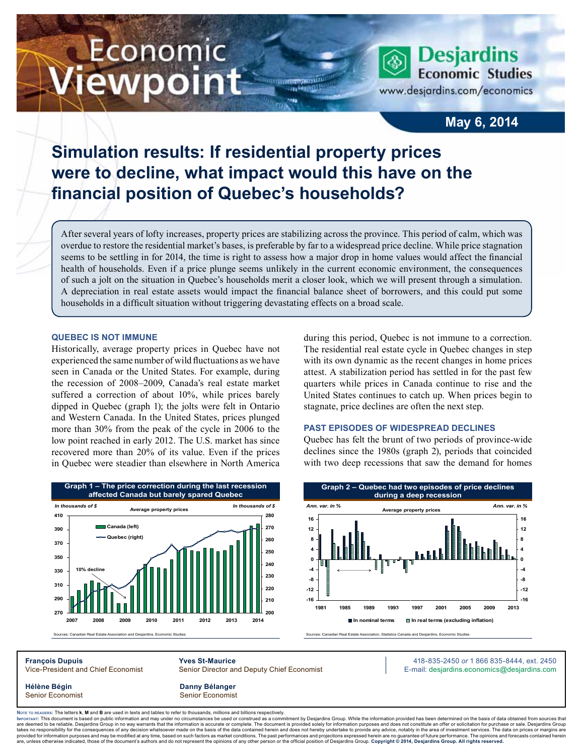# Economic ewpoint

**Desjardins Economic Studies** www.desjardins.com/economics

### **May 6, 2014**

# **Simulation results: If residential property prices were to decline, what impact would this have on the financial position of Quebec's households?**

After several years of lofty increases, property prices are stabilizing across the province. This period of calm, which was overdue to restore the residential market's bases, is preferable by far to a widespread price decline. While price stagnation seems to be settling in for 2014, the time is right to assess how a major drop in home values would affect the financial health of households. Even if a price plunge seems unlikely in the current economic environment, the consequences of such a jolt on the situation in Quebec's households merit a closer look, which we will present through a simulation. A depreciation in real estate assets would impact the financial balance sheet of borrowers, and this could put some households in a difficult situation without triggering devastating effects on a broad scale.

#### **Quebec is not immune**

Historically, average property prices in Quebec have not experienced the same number of wild fluctuations as we have seen in Canada or the United States. For example, during the recession of 2008–2009, Canada's real estate market suffered a correction of about 10%, while prices barely dipped in Quebec (graph 1); the jolts were felt in Ontario and Western Canada. In the United States, prices plunged more than 30% from the peak of the cycle in 2006 to the low point reached in early 2012. The U.S. market has since recovered more than 20% of its value. Even if the prices in Quebec were steadier than elsewhere in North America during this period, Quebec is not immune to a correction. The residential real estate cycle in Quebec changes in step with its own dynamic as the recent changes in home prices attest. A stabilization period has settled in for the past few quarters while prices in Canada continue to rise and the United States continues to catch up. When prices begin to stagnate, price declines are often the next step.

#### **Past episodes of widespread declines**

Quebec has felt the brunt of two periods of province-wide declines since the 1980s (graph 2), periods that coincided with two deep recessions that saw the demand for homes



**-16 -12 -8 -4 0 4 8 12 16 1981 1985 1989 1993 1997 2001 2005 2009 2013** *Ann. var. in %* **-16 -12 -8 -4 0 4 8 12 16** *Ann. var. in %* **In nominal terms In real terms (excluding inflation) Average property prices Graph 2 – Quebec had two episodes of price declines during a deep recession**

Sources: Canadian Real Estate Association, Statistics Canada and Desjardins, Economic Studies

**François Dupuis Yves St-Maurice** 418-835-2450 *or* 1 866 835-8444, ext. 2450 Vice-President and Chief Economist Senior Director and Deputy Chief Economist E-mail: desjardins.economics@desjardins.com

**Hélène Bégin Danny Bélanger** Senior Economist **Senior Economist** Senior Economist

Noте то келоекs: The letters **k, M** and **B** are used in texts and tables to refer to thousands, millions and billions respectively.<br>Імроктлит: This document is based on public information and may under no circumstances be are deemed to be reliable. Desiardins Group in no way warrants that the information is accurate or complete. The document is provided solely for information purposes and does not constitute an offer or solicitation for pur takes no responsibility for the consequences of any decision whatsoever made on the basis of the data contained herein and does not hereby undertake to provide any advice, notably in the area of investment services. The da .<br>are, unless otherwise indicated, those of the document's authors and do not represent the opinions of any other person or the official position of Desjardins Group. Copyright © 2014, Desjardins Group. All rights reserve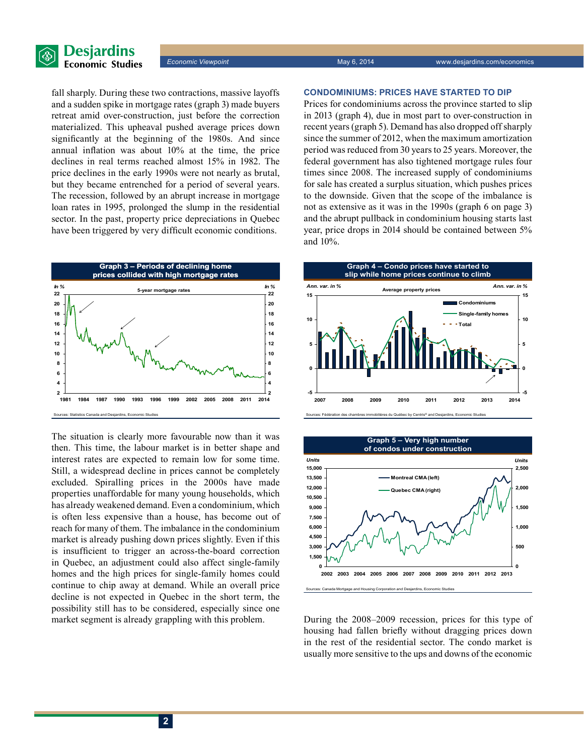

fall sharply. During these two contractions, massive layoffs and a sudden spike in mortgage rates (graph 3) made buyers retreat amid over-construction, just before the correction materialized. This upheaval pushed average prices down significantly at the beginning of the 1980s. And since annual inflation was about 10% at the time, the price declines in real terms reached almost 15% in 1982. The price declines in the early 1990s were not nearly as brutal, but they became entrenched for a period of several years. The recession, followed by an abrupt increase in mortgage loan rates in 1995, prolonged the slump in the residential sector. In the past, property price depreciations in Quebec have been triggered by very difficult economic conditions.



The situation is clearly more favourable now than it was then. This time, the labour market is in better shape and interest rates are expected to remain low for some time. Still, a widespread decline in prices cannot be completely excluded. Spiralling prices in the 2000s have made properties unaffordable for many young households, which has already weakened demand. Even a condominium, which is often less expensive than a house, has become out of reach for many of them. The imbalance in the condominium market is already pushing down prices slightly. Even if this is insufficient to trigger an across-the-board correction in Quebec, an adjustment could also affect single-family homes and the high prices for single-family homes could continue to chip away at demand. While an overall price decline is not expected in Quebec in the short term, the possibility still has to be considered, especially since one market segment is already grappling with this problem.

#### **Condominiums: prices have started to dip**

Prices for condominiums across the province started to slip in 2013 (graph 4), due in most part to over-construction in recent years (graph 5). Demand has also dropped off sharply since the summer of 2012, when the maximum amortization period was reduced from 30 years to 25 years. Moreover, the federal government has also tightened mortgage rules four times since 2008. The increased supply of condominiums for sale has created a surplus situation, which pushes prices to the downside. Given that the scope of the imbalance is not as extensive as it was in the 1990s (graph 6 on page 3) and the abrupt pullback in condominium housing starts last year, price drops in 2014 should be contained between 5% and 10%.





During the 2008–2009 recession, prices for this type of housing had fallen briefly without dragging prices down in the rest of the residential sector. The condo market is usually more sensitive to the ups and downs of the economic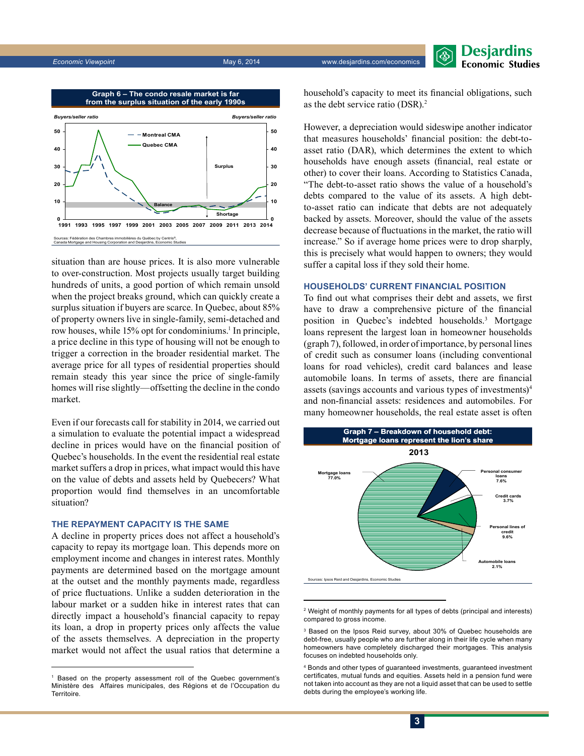**Desjardins Economic Studies** 



situation than are house prices. It is also more vulnerable to over-construction. Most projects usually target building hundreds of units, a good portion of which remain unsold when the project breaks ground, which can quickly create a surplus situation if buyers are scarce. In Quebec, about 85% of property owners live in single-family, semi-detached and row houses, while 15% opt for condominiums.<sup>1</sup> In principle, a price decline in this type of housing will not be enough to trigger a correction in the broader residential market. The average price for all types of residential properties should remain steady this year since the price of single-family homes will rise slightly—offsetting the decline in the condo market.

Even if our forecasts call for stability in 2014, we carried out a simulation to evaluate the potential impact a widespread decline in prices would have on the financial position of Quebec's households. In the event the residential real estate market suffers a drop in prices, what impact would this have on the value of debts and assets held by Quebecers? What proportion would find themselves in an uncomfortable situation?

#### **The repayment capacity is the same**

A decline in property prices does not affect a household's capacity to repay its mortgage loan. This depends more on employment income and changes in interest rates. Monthly payments are determined based on the mortgage amount at the outset and the monthly payments made, regardless of price fluctuations. Unlike a sudden deterioration in the labour market or a sudden hike in interest rates that can directly impact a household's financial capacity to repay its loan, a drop in property prices only affects the value of the assets themselves. A depreciation in the property market would not affect the usual ratios that determine a household's capacity to meet its financial obligations, such as the debt service ratio (DSR).<sup>2</sup>

However, a depreciation would sideswipe another indicator that measures households' financial position: the debt-toasset ratio (DAR), which determines the extent to which households have enough assets (financial, real estate or other) to cover their loans. According to Statistics Canada, "The debt-to-asset ratio shows the value of a household's debts compared to the value of its assets. A high debtto-asset ratio can indicate that debts are not adequately backed by assets. Moreover, should the value of the assets decrease because of fluctuations in the market, the ratio will increase." So if average home prices were to drop sharply, this is precisely what would happen to owners; they would suffer a capital loss if they sold their home.

#### **Households' current financial position**

To find out what comprises their debt and assets, we first have to draw a comprehensive picture of the financial position in Quebec's indebted households.3 Mortgage loans represent the largest loan in homeowner households (graph 7), followed, in order of importance, by personal lines of credit such as consumer loans (including conventional loans for road vehicles), credit card balances and lease automobile loans. In terms of assets, there are financial assets (savings accounts and various types of investments)4 and non-financial assets: residences and automobiles. For many homeowner households, the real estate asset is often



<sup>2</sup> Weight of monthly payments for all types of debts (principal and interests) compared to gross income.

<sup>1</sup> Based on the property assessment roll of the Quebec government's Ministère des Affaires municipales, des Régions et de l'Occupation du **Territoire** 

<sup>3</sup> Based on the Ipsos Reid survey, about 30% of Quebec households are debt-free, usually people who are further along in their life cycle when many homeowners have completely discharged their mortgages. This analysis focuses on indebted households only.

<sup>4</sup> Bonds and other types of guaranteed investments, guaranteed investment certificates, mutual funds and equities. Assets held in a pension fund were not taken into account as they are not a liquid asset that can be used to settle debts during the employee's working life.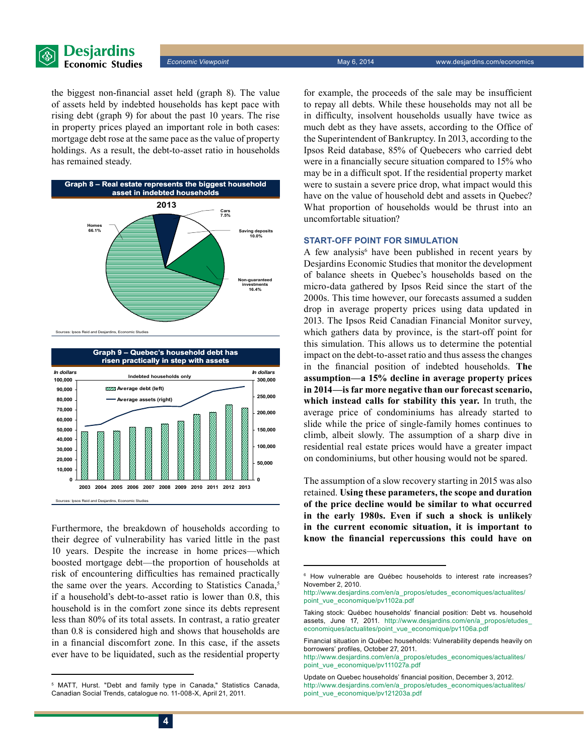

**Economic Viewpoint May 6, 2014** Way 1, 2014 www.desjardins.com/economics

the biggest non-financial asset held (graph 8). The value of assets held by indebted households has kept pace with rising debt (graph 9) for about the past 10 years. The rise in property prices played an important role in both cases: mortgage debt rose at the same pace as the value of property holdings. As a result, the debt-to-asset ratio in households has remained steady.





Furthermore, the breakdown of households according to their degree of vulnerability has varied little in the past 10 years. Despite the increase in home prices—which boosted mortgage debt—the proportion of households at risk of encountering difficulties has remained practically the same over the years. According to Statistics Canada,<sup>5</sup> if a household's debt-to-asset ratio is lower than 0.8, this household is in the comfort zone since its debts represent less than 80% of its total assets. In contrast, a ratio greater than 0.8 is considered high and shows that households are in a financial discomfort zone. In this case, if the assets ever have to be liquidated, such as the residential property for example, the proceeds of the sale may be insufficient to repay all debts. While these households may not all be in difficulty, insolvent households usually have twice as much debt as they have assets, according to the Office of the Superintendent of Bankruptcy. In 2013, according to the Ipsos Reid database, 85% of Quebecers who carried debt were in a financially secure situation compared to 15% who may be in a difficult spot. If the residential property market were to sustain a severe price drop, what impact would this have on the value of household debt and assets in Quebec? What proportion of households would be thrust into an uncomfortable situation?

#### **Start-off point for simulation**

A few analysis<sup>6</sup> have been published in recent years by Desjardins Economic Studies that monitor the development of balance sheets in Quebec's households based on the micro-data gathered by Ipsos Reid since the start of the 2000s. This time however, our forecasts assumed a sudden drop in average property prices using data updated in 2013. The Ipsos Reid Canadian Financial Monitor survey, which gathers data by province, is the start-off point for this simulation. This allows us to determine the potential impact on the debt-to-asset ratio and thus assess the changes in the financial position of indebted households. **The assumption—a 15% decline in average property prices in 2014—is far more negative than our forecast scenario, which instead calls for stability this year.** In truth, the average price of condominiums has already started to slide while the price of single-family homes continues to climb, albeit slowly. The assumption of a sharp dive in residential real estate prices would have a greater impact on condominiums, but other housing would not be spared.

The assumption of a slow recovery starting in 2015 was also retained. **Using these parameters, the scope and duration of the price decline would be similar to what occurred in the early 1980s. Even if such a shock is unlikely in the current economic situation, it is important to know the financial repercussions this could have on** 

<sup>5</sup> MATT, Hurst. "Debt and family type in Canada," Statistics Canada, Canadian Social Trends, catalogue no. 11-008-X, April 21, 2011.

<sup>6</sup> How vulnerable are Québec households to interest rate increases? November 2, 2010.

http://www.desjardins.com/en/a\_propos/etudes\_economiques/actualites/ point\_vue\_economique/pv1102a.pdf

Taking stock: Québec households' financial position: Debt vs. household assets, June 17, 2011. http://www.desiardins.com/en/a propos/etudes economiques/actualites/point\_vue\_economique/pv1106a.pdf

Financial situation in Québec households: Vulnerability depends heavily on borrowers' profiles, October 27, 2011.

http://www.desjardins.com/en/a\_propos/etudes\_economiques/actualites/ point\_vue\_economique/pv111027a.pdf

Update on Quebec households' financial position, December 3, 2012. http://www.desjardins.com/en/a\_propos/etudes\_economiques/actualites/ point\_vue\_economique/pv121203a.pdf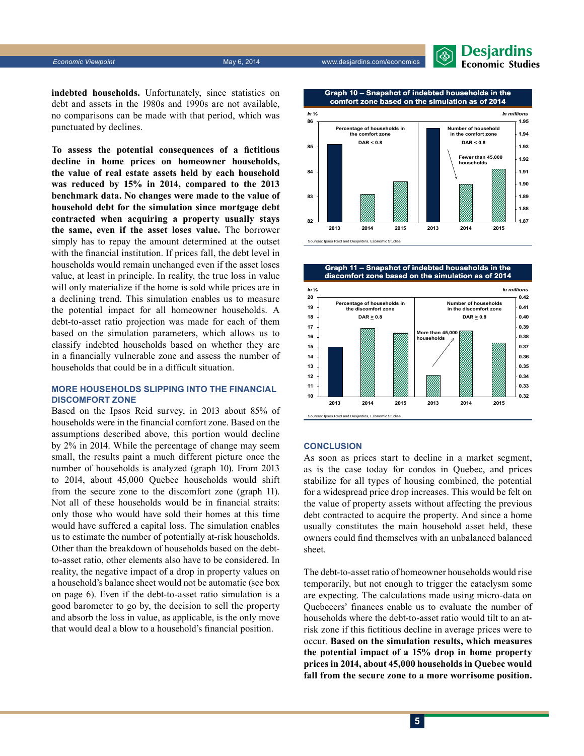**Economic Viewpoint** May 6, 2014 Website the May 6, 2014 Www.desjardins.com/economics



**indebted households.** Unfortunately, since statistics on debt and assets in the 1980s and 1990s are not available, no comparisons can be made with that period, which was punctuated by declines.

**To assess the potential consequences of a fictitious decline in home prices on homeowner households, the value of real estate assets held by each household was reduced by 15% in 2014, compared to the 2013 benchmark data. No changes were made to the value of household debt for the simulation since mortgage debt contracted when acquiring a property usually stays the same, even if the asset loses value.** The borrower simply has to repay the amount determined at the outset with the financial institution. If prices fall, the debt level in households would remain unchanged even if the asset loses value, at least in principle. In reality, the true loss in value will only materialize if the home is sold while prices are in a declining trend. This simulation enables us to measure the potential impact for all homeowner households. A debt-to-asset ratio projection was made for each of them based on the simulation parameters, which allows us to classify indebted households based on whether they are in a financially vulnerable zone and assess the number of households that could be in a difficult situation.

#### **More households slipping into the financial discomfort zone**

Based on the Ipsos Reid survey, in 2013 about 85% of households were in the financial comfort zone. Based on the assumptions described above, this portion would decline by 2% in 2014. While the percentage of change may seem small, the results paint a much different picture once the number of households is analyzed (graph 10). From 2013 to 2014, about 45,000 Quebec households would shift from the secure zone to the discomfort zone (graph 11). Not all of these households would be in financial straits: only those who would have sold their homes at this time would have suffered a capital loss. The simulation enables us to estimate the number of potentially at-risk households. Other than the breakdown of households based on the debtto-asset ratio, other elements also have to be considered. In reality, the negative impact of a drop in property values on a household's balance sheet would not be automatic (see box on page 6). Even if the debt-to-asset ratio simulation is a good barometer to go by, the decision to sell the property and absorb the loss in value, as applicable, is the only move that would deal a blow to a household's financial position.





#### **Conclusion**

As soon as prices start to decline in a market segment, as is the case today for condos in Quebec, and prices stabilize for all types of housing combined, the potential for a widespread price drop increases. This would be felt on the value of property assets without affecting the previous debt contracted to acquire the property. And since a home usually constitutes the main household asset held, these owners could find themselves with an unbalanced balanced sheet.

The debt-to-asset ratio of homeowner households would rise temporarily, but not enough to trigger the cataclysm some are expecting. The calculations made using micro-data on Quebecers' finances enable us to evaluate the number of households where the debt-to-asset ratio would tilt to an atrisk zone if this fictitious decline in average prices were to occur. **Based on the simulation results, which measures the potential impact of a 15% drop in home property prices in 2014, about 45,000 households in Quebec would fall from the secure zone to a more worrisome position.**